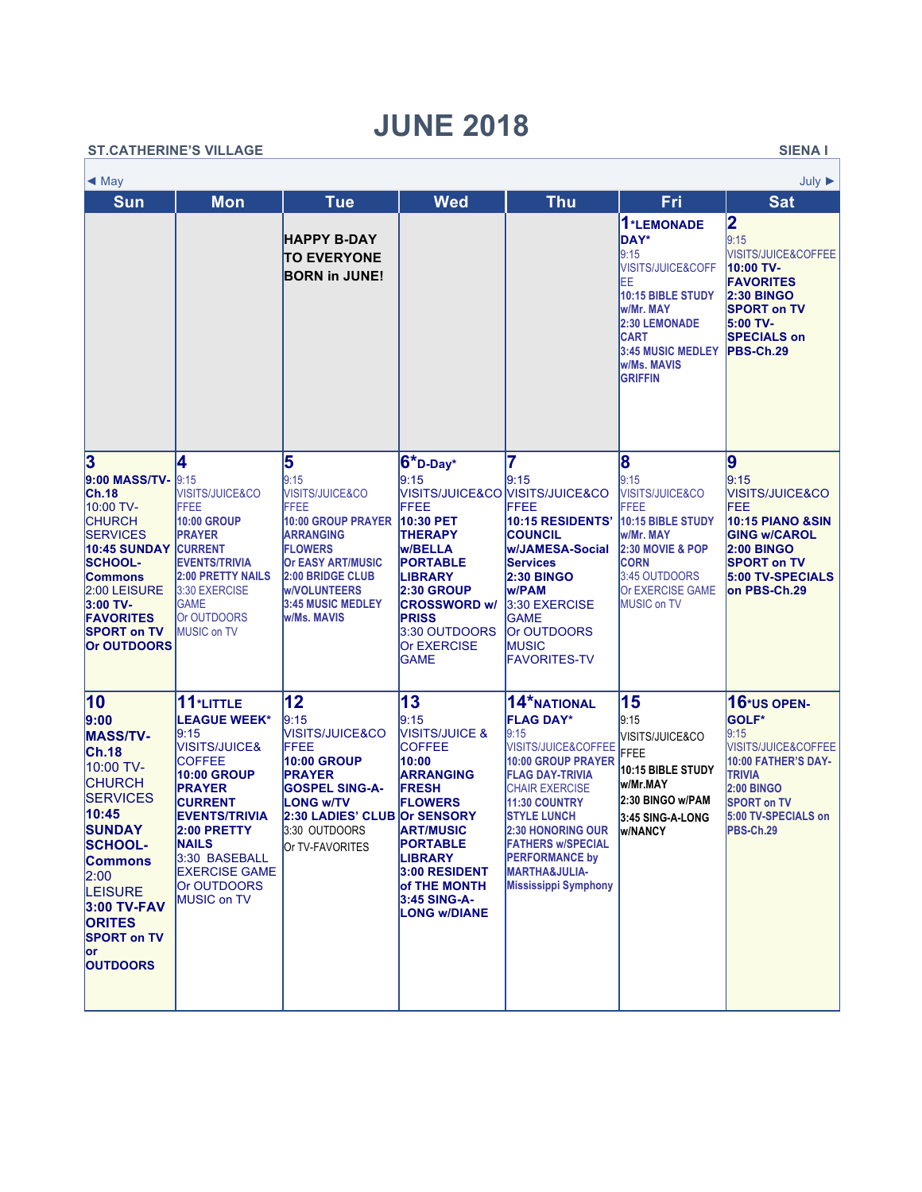## **JUNE 2018**

| <b>ST.CATHERINE'S VILLAGE</b><br><b>SIENAI</b> |                                                                                                                                                                                                                                                                    |                                                                                                                                                                                                                                                                                     |                                                                                                                                                                                                                    |                                                                                                                                                                                                                                                                 |                                                                                                                                                                                                                                                                                                                                          |                                                                                                                                                                                                         |                                                                                                                                                                                      |  |  |  |
|------------------------------------------------|--------------------------------------------------------------------------------------------------------------------------------------------------------------------------------------------------------------------------------------------------------------------|-------------------------------------------------------------------------------------------------------------------------------------------------------------------------------------------------------------------------------------------------------------------------------------|--------------------------------------------------------------------------------------------------------------------------------------------------------------------------------------------------------------------|-----------------------------------------------------------------------------------------------------------------------------------------------------------------------------------------------------------------------------------------------------------------|------------------------------------------------------------------------------------------------------------------------------------------------------------------------------------------------------------------------------------------------------------------------------------------------------------------------------------------|---------------------------------------------------------------------------------------------------------------------------------------------------------------------------------------------------------|--------------------------------------------------------------------------------------------------------------------------------------------------------------------------------------|--|--|--|
|                                                | $\triangleleft$ May                                                                                                                                                                                                                                                |                                                                                                                                                                                                                                                                                     |                                                                                                                                                                                                                    |                                                                                                                                                                                                                                                                 |                                                                                                                                                                                                                                                                                                                                          |                                                                                                                                                                                                         |                                                                                                                                                                                      |  |  |  |
|                                                | <b>Sun</b>                                                                                                                                                                                                                                                         | <b>Mon</b>                                                                                                                                                                                                                                                                          | <b>Tue</b>                                                                                                                                                                                                         | <b>Wed</b>                                                                                                                                                                                                                                                      | <b>Thu</b>                                                                                                                                                                                                                                                                                                                               | Fri                                                                                                                                                                                                     | <b>Sat</b>                                                                                                                                                                           |  |  |  |
|                                                |                                                                                                                                                                                                                                                                    |                                                                                                                                                                                                                                                                                     | <b>HAPPY B-DAY</b><br><b>TO EVERYONE</b><br><b>BORN in JUNE!</b>                                                                                                                                                   |                                                                                                                                                                                                                                                                 |                                                                                                                                                                                                                                                                                                                                          | 1*LEMONADE<br><b>DAY*</b><br>9:15<br><b>VISITS/JUICE&amp;COFF</b><br>IΕE<br>10:15 BIBLE STUDY<br>w/Mr. MAY<br>2:30 LEMONADE<br><b>CART</b><br><b>3:45 MUSIC MEDLEY</b><br>w/Ms. MAVIS<br><b>GRIFFIN</b> | 2<br>9:15<br><b>VISITS/JUICE&amp;COFFEE</b><br>10:00 TV-<br><b>FAVORITES</b><br><b>2:30 BINGO</b><br><b>SPORT on TV</b><br>5:00 TV-<br><b>SPECIALS on</b><br>PBS-Ch.29               |  |  |  |
|                                                | 3<br>9:00 MASS/TV-<br>Ch.18<br>10:00 TV-<br><b>CHURCH</b><br><b>SERVICES</b><br><b>10:45 SUNDAY</b><br><b>SCHOOL-</b><br><b>Commons</b><br>2:00 LEISURE<br>3:00 TV-<br><b>FAVORITES</b><br><b>SPORT on TV</b><br><b>Or OUTDOORS</b>                                | 4<br>9:15<br>VISITS/JUICE&CO<br><b>FFEE</b><br><b>10:00 GROUP</b><br><b>PRAYER</b><br><b>CURRENT</b><br><b>EVENTS/TRIVIA</b><br><b>2:00 PRETTY NAILS</b><br>3:30 EXERCISE<br><b>GAME</b><br>Or OUTDOORS<br><b>MUSIC on TV</b>                                                       | 5<br>9:15<br>VISITS/JUICE&CO<br>FFEE<br>10:00 GROUP PRAYER<br><b>ARRANGING</b><br><b>FLOWERS</b><br><b>Or EASY ART/MUSIC</b><br><b>2:00 BRIDGE CLUB</b><br><b>w/VOLUNTEERS</b><br>3:45 MUSIC MEDLEY<br>w/Ms. MAVIS | $6$ *D-Day*<br>9:15<br>VISITS/JUICE&CO VISITS/JUICE&CO<br>FFEE<br>10:30 PET<br><b>THERAPY</b><br><b>W/BELLA</b><br><b>PORTABLE</b><br><b>LIBRARY</b><br><b>2:30 GROUP</b><br><b>CROSSWORD w/</b><br><b>PRISS</b><br>3:30 OUTDOORS<br>Or EXERCISE<br><b>GAME</b> | 7<br>9:15<br><b>FFEE</b><br>10:15 RESIDENTS'<br><b>COUNCIL</b><br><b>W/JAMESA-Social</b><br><b>Services</b><br><b>2:30 BINGO</b><br>w/PAM<br>3:30 EXERCISE<br><b>GAME</b><br>Or OUTDOORS<br><b>MUSIC</b><br><b>FAVORITES-TV</b>                                                                                                          | 8<br>9:15<br><b>VISITS/JUICE&amp;CO</b><br>FFEE<br><b>10:15 BIBLE STUDY</b><br>w/Mr. MAY<br><b>2:30 MOVIE &amp; POP</b><br><b>CORN</b><br>3:45 OUTDOORS<br>Or EXERCISE GAME<br><b>MUSIC on TV</b>       | 9<br>9:15<br><b>VISITS/JUICE&amp;CO</b><br>FEE<br><b>10:15 PIANO &amp;SIN</b><br><b>IGING w/CAROL</b><br><b>2:00 BINGO</b><br><b>SPORT on TV</b><br>5:00 TV-SPECIALS<br>on PBS-Ch.29 |  |  |  |
|                                                | 10<br>9:00<br><b>MASS/TV-</b><br> Ch.18<br>10:00 TV-<br><b>CHURCH</b><br><b>SERVICES</b><br>10:45<br><b>SUNDAY</b><br><b>SCHOOL-</b><br><b>Commons</b><br> 2:00 <br><b>LEISURE</b><br>3:00 TV-FAV<br><b>ORITES</b><br><b>SPORT on TV</b><br>lor<br><b>OUTDOORS</b> | 11*LITTLE<br><b>LEAGUE WEEK*</b><br>9:15<br><b>VISITS/JUICE&amp;</b><br><b>COFFEE</b><br><b>10:00 GROUP</b><br><b>PRAYER</b><br><b>CURRENT</b><br><b>EVENTS/TRIVIA</b><br>2:00 PRETTY<br><b>NAILS</b><br>3:30 BASEBALL<br><b>EXERCISE GAME</b><br>Or OUTDOORS<br><b>MUSIC on TV</b> | 12<br>9:15<br>VISITS/JUICE&CO<br><b>IFFEE</b><br><b>10:00 GROUP</b><br><b>PRAYER</b><br><b>GOSPEL SING-A-</b><br><b>LONG w/TV</b><br>2:30 LADIES' CLUB Or SENSORY<br>3:30 OUTDOORS<br>Or TV-FAVORITES              | 13<br>9:15<br><b>VISITS/JUICE &amp;</b><br><b>COFFEE</b><br>10:00<br><b>ARRANGING</b><br><b>FRESH</b><br><b>FLOWERS</b><br><b>ART/MUSIC</b><br><b>PORTABLE</b><br><b>LIBRARY</b><br>3:00 RESIDENT<br>of THE MONTH<br>3:45 SING-A-<br><b>LONG w/DIANE</b>        | 14*NATIONAL<br><b>FLAG DAY*</b><br>9:15<br>VISITS/JUICE&COFFEE<br><b>10:00 GROUP PRAYER</b><br><b>FLAG DAY-TRIVIA</b><br><b>CHAIR EXERCISE</b><br><b>11:30 COUNTRY</b><br><b>STYLE LUNCH</b><br><b>2:30 HONORING OUR</b><br><b>FATHERS w/SPECIAL</b><br><b>PERFORMANCE by</b><br><b>MARTHA&amp;JULIA-</b><br><b>Mississippi Symphony</b> | 15<br>9:15<br><b>VISITS/JUICE&amp;CO</b><br><b>FFEE</b><br>10:15 BIBLE STUDY<br>w/Mr.MAY<br>2:30 BINGO w/PAM<br>3:45 SING-A-LONG<br><b>W/NANCY</b>                                                      | 16*us OPEN-<br><b>GOLF*</b><br>9:15<br>VISITS/JUICE&COFFEE<br>10:00 FATHER'S DAY-<br><b>TRIVIA</b><br><b>2:00 BINGO</b><br><b>SPORT on TV</b><br>5:00 TV-SPECIALS on<br>PBS-Ch.29    |  |  |  |